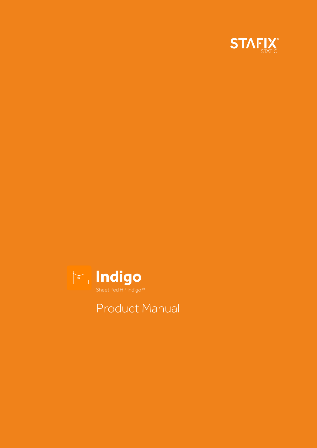



## Product Manual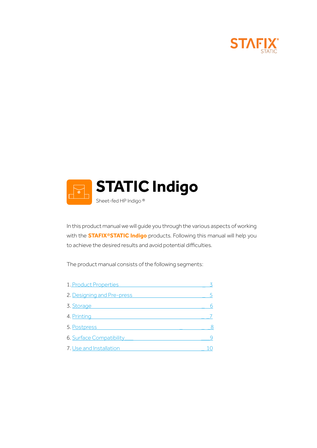



In this product manual we will guide you through the various aspects of working with the **STAFIX®STATIC Indigo** products. Following this manual will help you to achieve the desired results and avoid potential difficulties.

The product manual consists of the following segments:

| 1. Product Properties      |   |
|----------------------------|---|
| 2. Designing and Pre-press | 5 |
| 3. Storage                 | 6 |
| 4. Printing                |   |
| 5. Postpress               | 8 |
| 6. Surface Compatibility   |   |
| 7. Use and Installation    |   |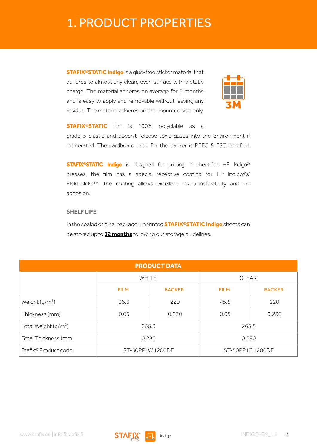### <span id="page-2-0"></span>1. PRODUCT PROPERTIES

**STAFIX®STATIC Indigo** is a glue-free sticker material that adheres to almost any clean, even surface with a static charge. The material adheres on average for 3 months and is easy to apply and removable without leaving any residue. The material adheres on the unprinted side only.



**STAFIX®STATIC** film is 100% recyclable as a grade 5 plastic and doesn't release toxic gases into the environment if incinerated. The cardboard used for the backer is PEFC & FSC certified.

**STAFIX®STATIC Indigo** is designed for printing in sheet-fed HP Indigo® presses, the film has a special receptive coating for HP Indigo®s' ElektroInks™, the coating allows excellent ink transferability and ink adhesion.

#### **SHELF LIFE**

In the sealed original package, unprinted **STAFIX®STATIC Indigo** sheets can be stored up to **12 months** following our storage guidelines.

| <b>PRODUCT DATA</b>              |                  |               |                  |               |  |
|----------------------------------|------------------|---------------|------------------|---------------|--|
|                                  | <b>WHITE</b>     |               | <b>CLEAR</b>     |               |  |
|                                  | <b>FILM</b>      | <b>BACKER</b> |                  | <b>BACKER</b> |  |
| Weight (g/m <sup>2</sup> )       | 36.3             | 220           | 45.5             | 220           |  |
| Thickness (mm)                   | 0.05             | 0.230         | 0.05             |               |  |
| Total Weight (g/m <sup>2</sup> ) | 256.3            |               | 265.5            |               |  |
| Total Thickness (mm)             | 0.280            |               | 0.280            |               |  |
| Stafix® Product code             | ST-50PP1W.1200DF |               | ST-50PP1C.1200DF |               |  |

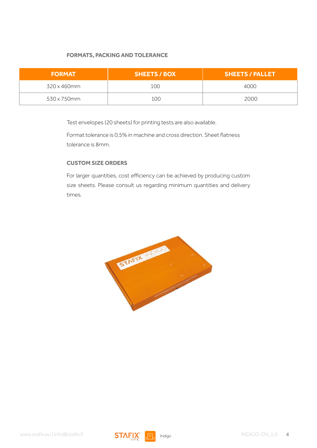#### **FORMATS, PACKING AND TOLERANCE**

| <b>FORMAT</b> | <b>SHEETS / BOX</b> | <b>SHEETS / PALLET</b> |
|---------------|---------------------|------------------------|
| 320 x 460mm   | 100                 | 4000                   |
| 530 x 750 mm  | 100                 | 2000                   |

Test envelopes (20 sheets) for printing tests are also available.

Format tolerance is 0,5% in machine and cross direction. Sheet flatness tolerance is 8mm.

#### **CUSTOM SIZE ORDERS**

For larger quantities, cost efficiency can be achieved by producing custom size sheets. Please consult us regarding minimum quantities and delivery times.



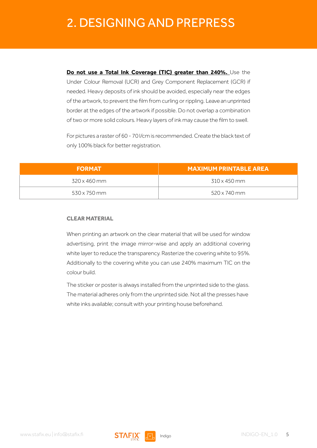# <span id="page-4-0"></span>2. DESIGNING AND PREPRESS

**Do not use a Total Ink Coverage (TIC) greater than 240%.** Use the Under Colour Removal (UCR) and Grey Component Replacement (GCR) if needed. Heavy deposits of ink should be avoided, especially near the edges of the artwork, to prevent the film from curling or rippling. Leave an unprinted border at the edges of the artwork if possible. Do not overlap a combination of two or more solid colours. Heavy layers of ink may cause the film to swell.

For pictures a raster of 60 - 70 l/cm is recommended. Create the black text of only 100% black for better registration.

| <b>FORMAT</b>       | <b>MAXIMUM PRINTABLE AREA</b> |
|---------------------|-------------------------------|
| 320 x 460 mm        | 310 x 450 mm                  |
| $530 \times 750$ mm | $520 \times 740$ mm           |

#### **CLEAR MATERIAL**

When printing an artwork on the clear material that will be used for window advertising, print the image mirror-wise and apply an additional covering white layer to reduce the transparency. Rasterize the covering white to 95%. Additionally to the covering white you can use 240% maximum TIC on the colour build.

The sticker or poster is always installed from the unprinted side to the glass. The material adheres only from the unprinted side. Not all the presses have white inks available; consult with your printing house beforehand.

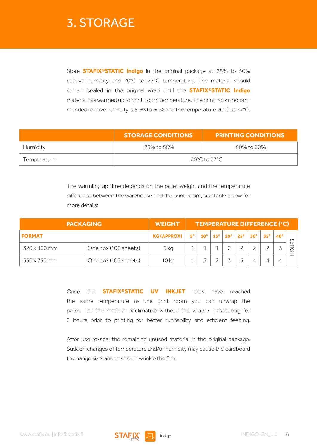### <span id="page-5-0"></span>3. STORAGE

Store **STAFIX®STATIC Indigo** in the original package at 25% to 50% relative humidity and 20°C to 27°C temperature. The material should remain sealed in the original wrap until the **STAFIX®STATIC Indigo** material has warmed up to print-room temperature. The print-room recommended relative humidity is 50% to 60% and the temperature 20°C to 27°C.

|             | <b>STORAGE CONDITIONS</b> | <b>PRINTING CONDITIONS</b> |  |  |  |
|-------------|---------------------------|----------------------------|--|--|--|
| Humidity    | 25% to 50%<br>50% to 60%  |                            |  |  |  |
| Temperature | 20°C to 27°C              |                            |  |  |  |

The warming-up time depends on the pallet weight and the temperature difference between the warehouse and the print-room, see table below for more details:

|                     | <b>PACKAGING</b>     | <b>WEIGHT</b>      |             |              |            |            |            | <b>TEMPERATURE DIFFERENCE (°C)</b> |            |            |         |
|---------------------|----------------------|--------------------|-------------|--------------|------------|------------|------------|------------------------------------|------------|------------|---------|
| <b>FORMAT</b>       |                      | <b>KG (APPROX)</b> | $5^{\circ}$ | $10^{\circ}$ | $15^\circ$ | $20^\circ$ | $25^\circ$ | $30^\circ$                         | $35^\circ$ | $40^\circ$ | $\circ$ |
| $320 \times 460$ mm | One box (100 sheets) | 5 kg               |             |              |            |            |            |                                    |            |            |         |
| $530 \times 750$ mm | One box (100 sheets) | 10 kg              |             |              |            |            |            |                                    |            |            |         |

Once the **STAFIX®STATIC UV INKJET** reels have reached the same temperature as the print room you can unwrap the pallet. Let the material acclimatize without the wrap / plastic bag for 2 hours prior to printing for better runnability and efficient feeding.

After use re-seal the remaining unused material in the original package. Sudden changes of temperature and/or humidity may cause the cardboard to change size, and this could wrinkle the film.

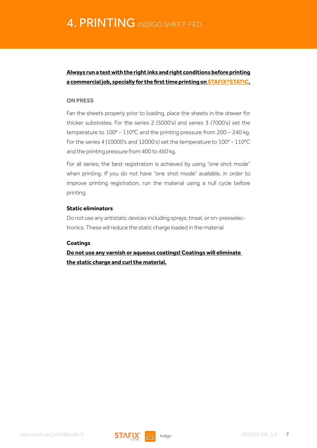### <span id="page-6-0"></span>**Always run a test with the right inks and right conditions before printing a commercial job, specially for the first time printing on STAFIX®STATIC.**

#### **ON PRESS**

Fan the sheets properly prior to loading, place the sheets in the drawer for thicker substrates. For the series 2 (5000's) and series 3 (7000's) set the temperature to 100° - 110°C and the printing pressure from 200 – 240 kg. For the series 4 (10000's and 12000's) set the temperature to 100° - 110°C and the printing pressure from 400 to 450 kg.

For all series; the best registration is achieved by using "one shot mode" when printing. If you do not have "one shot mode" available, in order to improve printing registration, run the material using a null cycle before printing.

#### **Static eliminators**

Do not use any antistatic devices including sprays, tinsel, or on-presselectronics. These will reduce the static charge loaded in the material.

#### **Coatings**

**Do not use any varnish or aqueous coatings! Coatings will eliminate the static charge and curl the material.**

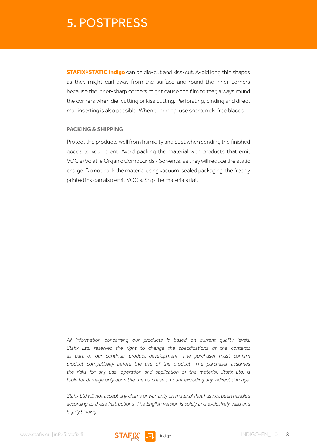### <span id="page-7-0"></span>5. POSTPRESS

**STAFIX®STATIC Indigo** can be die-cut and kiss-cut. Avoid long thin shapes as they might curl away from the surface and round the inner corners because the inner-sharp corners might cause the film to tear, always round the corners when die-cutting or kiss cutting. Perforating, binding and direct mail inserting is also possible. When trimming, use sharp, nick-free blades.

#### **PACKING & SHIPPING**

Protect the products well from humidity and dust when sending the finished goods to your client. Avoid packing the material with products that emit VOC's (Volatile Organic Compounds / Solvents) as they will reduce the static charge. Do not pack the material using vacuum-sealed packaging; the freshly printed ink can also emit VOC's. Ship the materials flat.

*All information concerning our products is based on current quality levels. Stafix Ltd. reserves the right to change the specifications of the contents as part of our continual product development. The purchaser must confirm product compatibility before the use of the product. The purchaser assumes the risks for any use, operation and application of the material. Stafix Ltd. is liable for damage only upon the the purchase amount excluding any indirect damage.*

*Stafix Ltd will not accept any claims or warranty on material that has not been handled according to these instructions. The English version is solely and exclusively valid and legally binding.* 

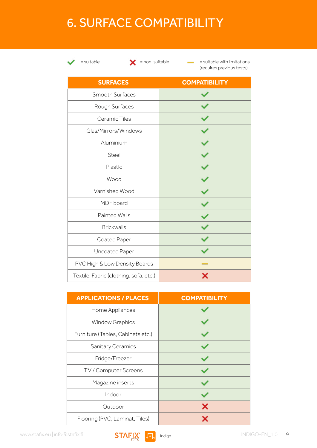## <span id="page-8-0"></span>6. SURFACE COMPATIBILITY



 $\blacktriangleright$  = suitable  $\blacktriangleright$  = non-suitable  $\blacktriangleright$  = suitable with limitations (requires previous tests)

| <b>SURFACES</b>                        | <b>COMPATIBILITY</b>  |
|----------------------------------------|-----------------------|
| Smooth Surfaces                        |                       |
| Rough Surfaces                         |                       |
| Ceramic Tiles                          |                       |
| Glas/Mirrors/Windows                   |                       |
| Aluminium                              |                       |
| Steel                                  |                       |
| Plastic                                |                       |
| Wood                                   |                       |
| Varnished Wood                         |                       |
| MDF board                              |                       |
| <b>Painted Walls</b>                   |                       |
| <b>Brickwalls</b>                      | $\overline{\check{}}$ |
| Coated Paper                           |                       |
| Uncoated Paper                         |                       |
| PVC High & Low Density Boards          |                       |
| Textile, Fabric (clothing, sofa, etc.) |                       |

| <b>APPLICATIONS / PLACES</b>      | <b>COMPATIBILITY</b> |
|-----------------------------------|----------------------|
| Home Appliances                   |                      |
| <b>Window Graphics</b>            |                      |
| Furniture (Tables, Cabinets etc.) |                      |
| Sanitary Ceramics                 |                      |
| Fridge/Freezer                    |                      |
| TV / Computer Screens             |                      |
| Magazine inserts                  |                      |
| Indoor                            |                      |
| Outdoor                           |                      |
| Flooring (PVC, Laminat, Tiles)    |                      |

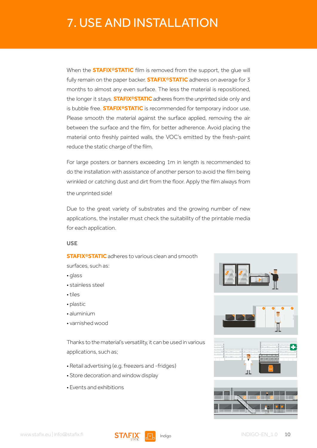# <span id="page-9-0"></span>7. USE AND INSTALLATION

When the **STAFIX®STATIC** film is removed from the support, the glue will fully remain on the paper backer. **STAFIX®STATIC** adheres on average for 3 months to almost any even surface. The less the material is repositioned, the longer it stays. **STAFIX®STATIC** adheres from the unprinted side only and is bubble free. **STAFIX®STATIC** is recommended for temporary indoor use. Please smooth the material against the surface applied, removing the air between the surface and the film, for better adherence. Avoid placing the material onto freshly painted walls, the VOC's emitted by the fresh-paint reduce the static charge of the film.

For large posters or banners exceeding 1m in length is recommended to do the installation with assistance of another person to avoid the film being wrinkled or catching dust and dirt from the floor. Apply the film always from the unprinted side!

Due to the great variety of substrates and the growing number of new applications, the installer must check the suitability of the printable media for each application.

#### **USE**

**STAFIX®STATIC** adheres to various clean and smooth

surfaces, such as:

• glass

- stainless steel
- tiles
- plastic
- aluminium
- varnished wood

Thanks to the material's versatility, it can be used in various applications, such as;

- Retail advertising (e.g. freezers and -fridges)
- Store decoration and window display
- Events and exhibitions







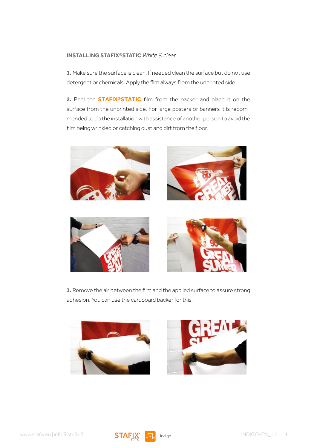#### **INSTALLING STAFIX®STATIC** *White & clear*

**1.** Make sure the surface is clean. If needed clean the surface but do not use detergent or chemicals. Apply the film always from the unprinted side.

**2.** Peel the **STAFIX®STATIC** film from the backer and place it on the surface from the unprinted side. For large posters or banners it is recommended to do the installation with assistance of another person to avoid the film being wrinkled or catching dust and dirt from the floor.









**3.** Remove the air between the film and the applied surface to assure strong adhesion. You can use the cardboard backer for this.